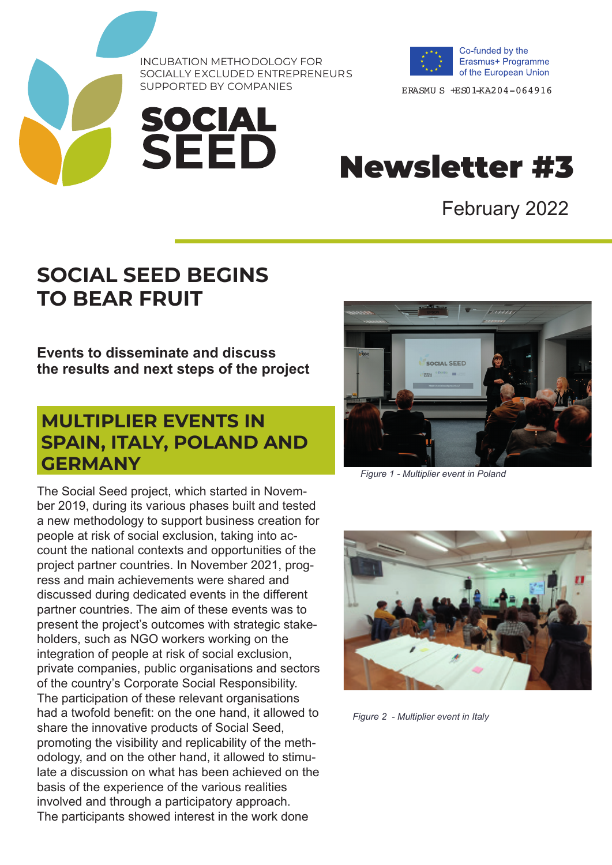INCUBATION METHODOLOGY FOR SOCIALLY EXCLUDED ENTREPRENEURS<br>SUPPORTED BY COMPANIES

**SOCIAL<br>SEED** 



ERASMU S +ES01-KA204-064916

# Newsletter #3

February 2022

# **SOCIAL SEED BEGINS TO BEAR FRUIT**

**Events to disseminate and discuss the results and next steps of the project**

### **MULTIPLIER EVENTS IN SPAIN, ITALY, POLAND AND GERMANY**

The Social Seed project, which started in November 2019, during its various phases built and tested a new methodology to support business creation for people at risk of social exclusion, taking into account the national contexts and opportunities of the project partner countries. In November 2021, progress and main achievements were shared and discussed during dedicated events in the different partner countries. The aim of these events was to present the project's outcomes with strategic stakeholders, such as NGO workers working on the integration of people at risk of social exclusion, private companies, public organisations and sectors of the country's Corporate Social Responsibility. The participation of these relevant organisations had a twofold benefit: on the one hand, it allowed to share the innovative products of Social Seed, promoting the visibility and replicability of the methodology, and on the other hand, it allowed to stimulate a discussion on what has been achieved on the basis of the experience of the various realities involved and through a participatory approach. The participants showed interest in the work done



*Figure 1 - Multiplier event in Poland*



*Figure 2 - Multiplier event in Italy*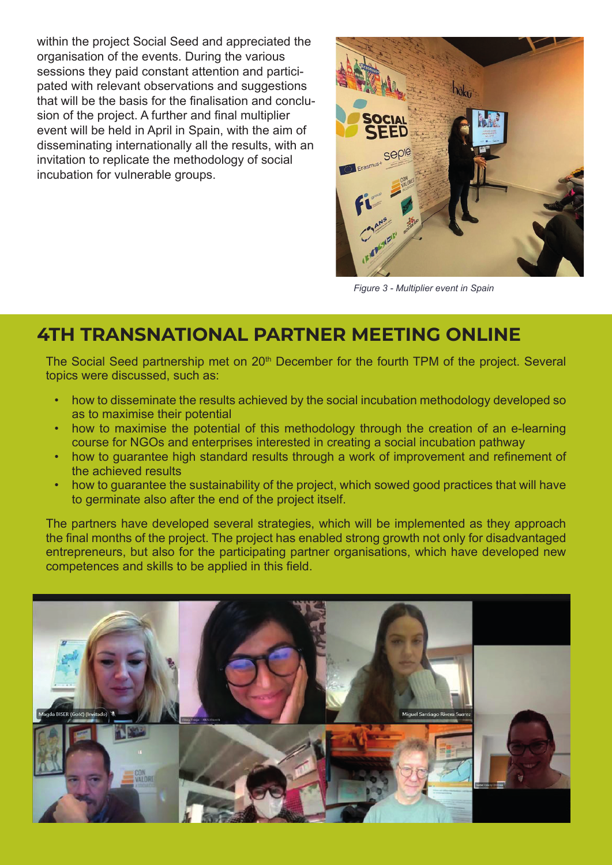within the project Social Seed and appreciated the organisation of the events. During the various sessions they paid constant attention and participated with relevant observations and suggestions that will be the basis for the finalisation and conclusion of the project. A further and final multiplier event will be held in April in Spain, with the aim of disseminating internationally all the results, with an invitation to replicate the methodology of social incubation for vulnerable groups.



*Figure 3 - Multiplier event in Spain*

#### **4TH TRANSNATIONAL PARTNER MEETING ONLINE**

The Social Seed partnership met on 20<sup>th</sup> December for the fourth TPM of the project. Several topics were discussed, such as:

- how to disseminate the results achieved by the social incubation methodology developed so as to maximise their potential
- how to maximise the potential of this methodology through the creation of an e-learning course for NGOs and enterprises interested in creating a social incubation pathway
- how to guarantee high standard results through a work of improvement and refinement of the achieved results
- how to guarantee the sustainability of the project, which sowed good practices that will have to germinate also after the end of the project itself.

The partners have developed several strategies, which will be implemented as they approach the final months of the project. The project has enabled strong growth not only for disadvantaged entrepreneurs, but also for the participating partner organisations, which have developed new competences and skills to be applied in this field.